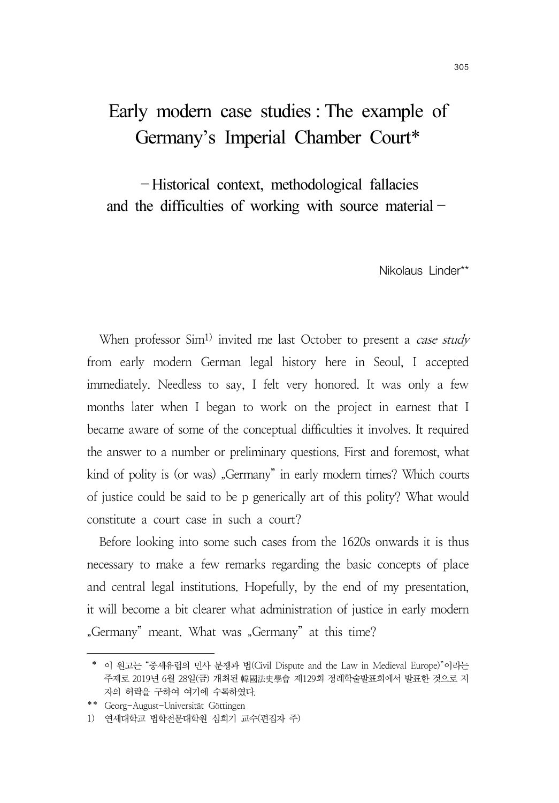## Early modern case studies : The example of Germany's Imperial Chamber Court\*

-Historical context, methodological fallacies and the difficulties of working with source material-

Nikolaus Linder\*\*

When professor Sim<sup>1)</sup> invited me last October to present a *case study* from early modern German legal history here in Seoul, I accepted immediately. Needless to say, I felt very honored. It was only a few months later when I began to work on the project in earnest that I became aware of some of the conceptual difficulties it involves. It required the answer to a number or preliminary questions. First and foremost, what kind of polity is (or was) "Germany" in early modern times? Which courts of justice could be said to be p generically art of this polity? What would constitute a court case in such a court?

Before looking into some such cases from the 1620s onwards it is thus necessary to make a few remarks regarding the basic concepts of place and central legal institutions. Hopefully, by the end of my presentation, it will become a bit clearer what administration of justice in early modern "Germany" meant. What was "Germany" at this time?

 <sup>\*</sup> 이 원고는 "중세유럽의 민사 분쟁과 법(Civil Dispute and the Law in Medieval Europe)"이라는 주제로 2019년 6월 28일(금) 개최된 韓國法史學會 제129회 정례학술발표회에서 발표한 것으로 저 자의 허락을 구하여 여기에 수록하였다.

<sup>\*\*</sup> Georg-August-Universität Göttingen

<sup>1)</sup> 연세대학교 법학전문대학원 심희기 교수(편집자 주)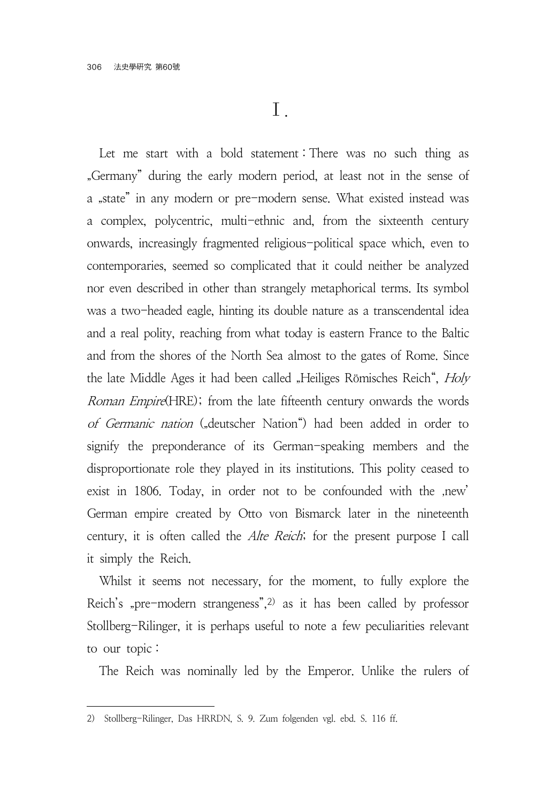Let me start with a bold statement: There was no such thing as "Germany" during the early modern period, at least not in the sense of a "state" in any modern or pre-modern sense. What existed instead was a complex, polycentric, multi-ethnic and, from the sixteenth century onwards, increasingly fragmented religious-political space which, even to contemporaries, seemed so complicated that it could neither be analyzed nor even described in other than strangely metaphorical terms. Its symbol was a two-headed eagle, hinting its double nature as a transcendental idea and a real polity, reaching from what today is eastern France to the Baltic and from the shores of the North Sea almost to the gates of Rome. Since the late Middle Ages it had been called "Heiliges Römisches Reich", Holy Roman Empire(HRE); from the late fifteenth century onwards the words of Germanic nation ("deutscher Nation") had been added in order to signify the preponderance of its German-speaking members and the disproportionate role they played in its institutions. This polity ceased to exist in 1806. Today, in order not to be confounded with the ,new' German empire created by Otto von Bismarck later in the nineteenth century, it is often called the Alte Reich; for the present purpose I call it simply the Reich.

Whilst it seems not necessary, for the moment, to fully explore the Reich's "pre-modern strangeness", $2$ ) as it has been called by professor Stollberg-Rilinger, it is perhaps useful to note a few peculiarities relevant to our topic :

The Reich was nominally led by the Emperor. Unlike the rulers of

<sup>2)</sup> Stollberg-Rilinger, Das HRRDN, S. 9. Zum folgenden vgl. ebd. S. 116 ff.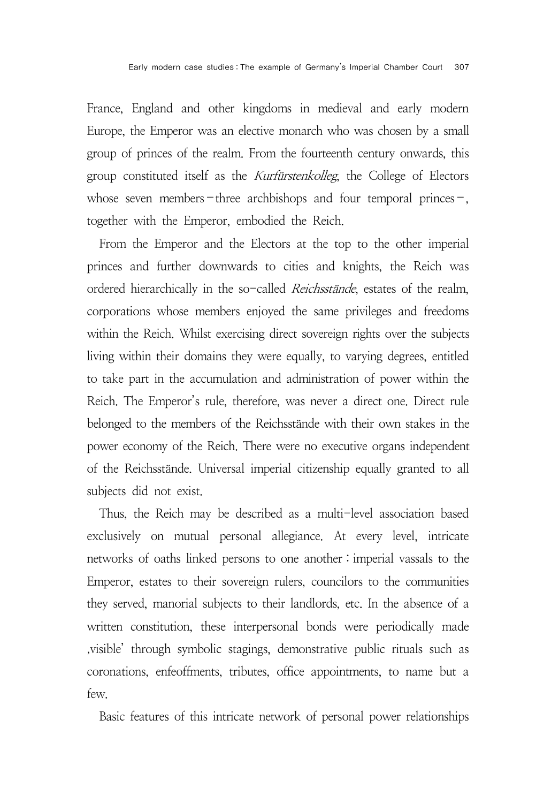France, England and other kingdoms in medieval and early modern Europe, the Emperor was an elective monarch who was chosen by a small group of princes of the realm. From the fourteenth century onwards, this group constituted itself as the Kurfürstenkolleg, the College of Electors whose seven members-three archbishops and four temporal princes-, together with the Emperor, embodied the Reich.

From the Emperor and the Electors at the top to the other imperial princes and further downwards to cities and knights, the Reich was ordered hierarchically in the so-called Reichsstände, estates of the realm, corporations whose members enjoyed the same privileges and freedoms within the Reich. Whilst exercising direct sovereign rights over the subjects living within their domains they were equally, to varying degrees, entitled to take part in the accumulation and administration of power within the Reich. The Emperor's rule, therefore, was never a direct one. Direct rule belonged to the members of the Reichsstände with their own stakes in the power economy of the Reich. There were no executive organs independent of the Reichsstände. Universal imperial citizenship equally granted to all subjects did not exist.

Thus, the Reich may be described as a multi-level association based exclusively on mutual personal allegiance. At every level, intricate networks of oaths linked persons to one another : imperial vassals to the Emperor, estates to their sovereign rulers, councilors to the communities they served, manorial subjects to their landlords, etc. In the absence of a written constitution, these interpersonal bonds were periodically made 'visible' through symbolic stagings, demonstrative public rituals such as coronations, enfeoffments, tributes, office appointments, to name but a few.

Basic features of this intricate network of personal power relationships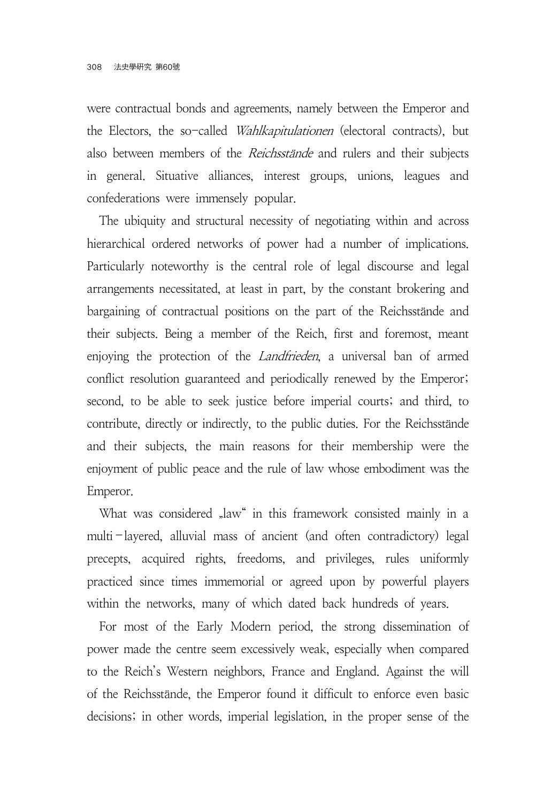were contractual bonds and agreements, namely between the Emperor and the Electors, the so-called Wahlkapitulationen (electoral contracts), but also between members of the *Reichsstände* and rulers and their subjects in general. Situative alliances, interest groups, unions, leagues and confederations were immensely popular.

The ubiquity and structural necessity of negotiating within and across hierarchical ordered networks of power had a number of implications. Particularly noteworthy is the central role of legal discourse and legal arrangements necessitated, at least in part, by the constant brokering and bargaining of contractual positions on the part of the Reichsstände and their subjects. Being a member of the Reich, first and foremost, meant enjoying the protection of the Landfrieden, a universal ban of armed conflict resolution guaranteed and periodically renewed by the Emperor; second, to be able to seek justice before imperial courts; and third, to contribute, directly or indirectly, to the public duties. For the Reichsstände and their subjects, the main reasons for their membership were the enjoyment of public peace and the rule of law whose embodiment was the Emperor.

What was considered "law" in this framework consisted mainly in a multi-layered, alluvial mass of ancient (and often contradictory) legal precepts, acquired rights, freedoms, and privileges, rules uniformly practiced since times immemorial or agreed upon by powerful players within the networks, many of which dated back hundreds of years.

For most of the Early Modern period, the strong dissemination of power made the centre seem excessively weak, especially when compared to the Reich's Western neighbors, France and England. Against the will of the Reichsstände, the Emperor found it difficult to enforce even basic decisions; in other words, imperial legislation, in the proper sense of the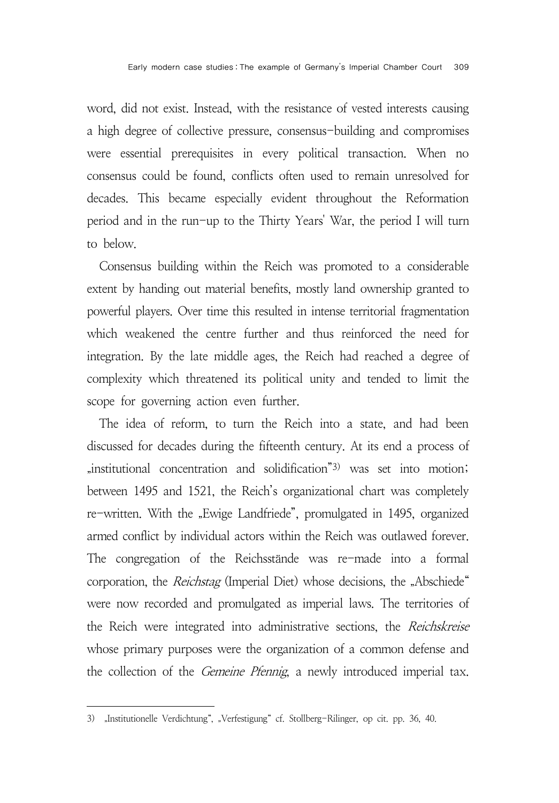word, did not exist. Instead, with the resistance of vested interests causing a high degree of collective pressure, consensus-building and compromises were essential prerequisites in every political transaction. When no consensus could be found, conflicts often used to remain unresolved for decades. This became especially evident throughout the Reformation period and in the run-up to the Thirty Years' War, the period I will turn to below.

Consensus building within the Reich was promoted to a considerable extent by handing out material benefits, mostly land ownership granted to powerful players. Over time this resulted in intense territorial fragmentation which weakened the centre further and thus reinforced the need for integration. By the late middle ages, the Reich had reached a degree of complexity which threatened its political unity and tended to limit the scope for governing action even further.

The idea of reform, to turn the Reich into a state, and had been discussed for decades during the fifteenth century. At its end a process of "institutional concentration and solidification<sup>"3)</sup> was set into motion; between 1495 and 1521, the Reich's organizational chart was completely re-written. With the "Ewige Landfriede", promulgated in 1495, organized armed conflict by individual actors within the Reich was outlawed forever. The congregation of the Reichsstände was re-made into a formal corporation, the *Reichstag* (Imperial Diet) whose decisions, the "Abschiede" were now recorded and promulgated as imperial laws. The territories of the Reich were integrated into administrative sections, the Reichskreise whose primary purposes were the organization of a common defense and the collection of the *Gemeine Pfennig*, a newly introduced imperial tax.

<sup>3) &</sup>quot;Institutionelle Verdichtung", "Verfestigung" cf. Stollberg-Rilinger, op cit. pp. 36, 40.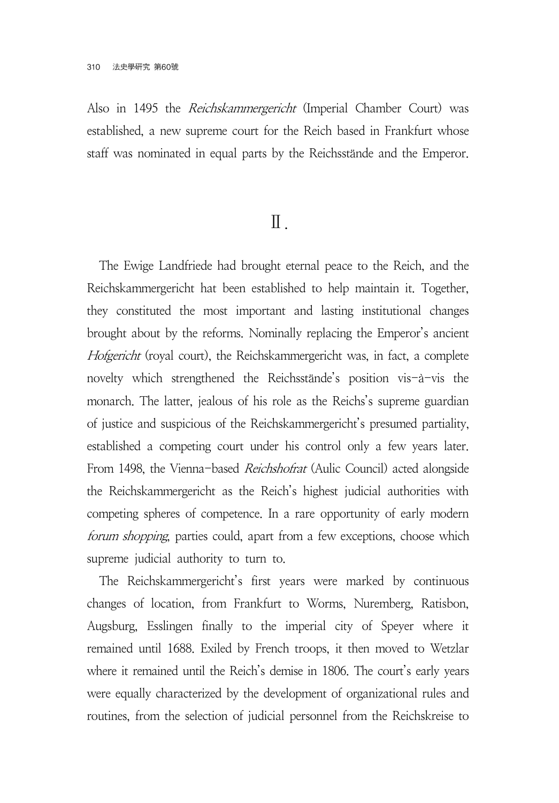Also in 1495 the *Reichskammergericht* (Imperial Chamber Court) was established, a new supreme court for the Reich based in Frankfurt whose staff was nominated in equal parts by the Reichsstände and the Emperor.

## Ⅱ.

The Ewige Landfriede had brought eternal peace to the Reich, and the Reichskammergericht hat been established to help maintain it. Together, they constituted the most important and lasting institutional changes brought about by the reforms. Nominally replacing the Emperor's ancient Hofgericht (royal court), the Reichskammergericht was, in fact, a complete novelty which strengthened the Reichsstände's position vis-à-vis the monarch. The latter, jealous of his role as the Reichs's supreme guardian of justice and suspicious of the Reichskammergericht's presumed partiality, established a competing court under his control only a few years later. From 1498, the Vienna-based Reichshofrat (Aulic Council) acted alongside the Reichskammergericht as the Reich's highest judicial authorities with competing spheres of competence. In a rare opportunity of early modern forum shopping, parties could, apart from a few exceptions, choose which supreme judicial authority to turn to.

The Reichskammergericht's first years were marked by continuous changes of location, from Frankfurt to Worms, Nuremberg, Ratisbon, Augsburg, Esslingen finally to the imperial city of Speyer where it remained until 1688. Exiled by French troops, it then moved to Wetzlar where it remained until the Reich's demise in 1806. The court's early years were equally characterized by the development of organizational rules and routines, from the selection of judicial personnel from the Reichskreise to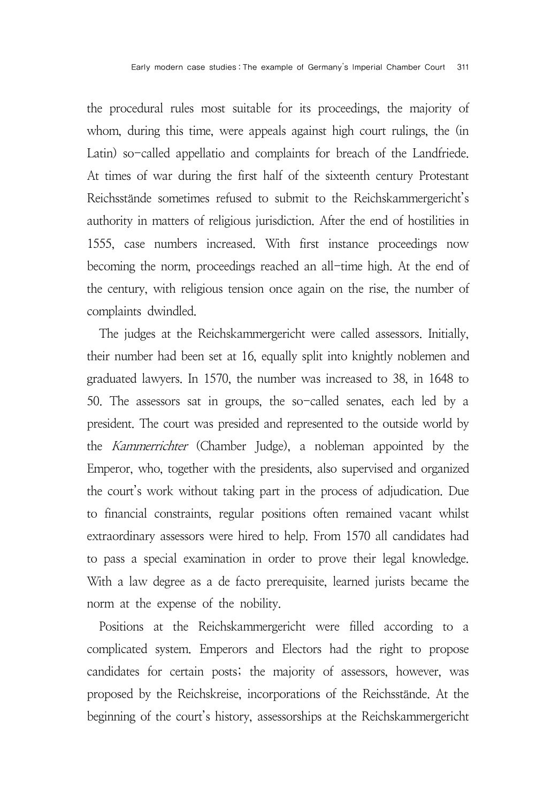the procedural rules most suitable for its proceedings, the majority of whom, during this time, were appeals against high court rulings, the (in Latin) so-called appellatio and complaints for breach of the Landfriede. At times of war during the first half of the sixteenth century Protestant Reichsstände sometimes refused to submit to the Reichskammergericht's authority in matters of religious jurisdiction. After the end of hostilities in 1555, case numbers increased. With first instance proceedings now becoming the norm, proceedings reached an all-time high. At the end of the century, with religious tension once again on the rise, the number of complaints dwindled.

The judges at the Reichskammergericht were called assessors. Initially, their number had been set at 16, equally split into knightly noblemen and graduated lawyers. In 1570, the number was increased to 38, in 1648 to 50. The assessors sat in groups, the so-called senates, each led by a president. The court was presided and represented to the outside world by the Kammerrichter (Chamber Judge), a nobleman appointed by the Emperor, who, together with the presidents, also supervised and organized the court's work without taking part in the process of adjudication. Due to financial constraints, regular positions often remained vacant whilst extraordinary assessors were hired to help. From 1570 all candidates had to pass a special examination in order to prove their legal knowledge. With a law degree as a de facto prerequisite, learned jurists became the norm at the expense of the nobility.

Positions at the Reichskammergericht were filled according to a complicated system. Emperors and Electors had the right to propose candidates for certain posts; the majority of assessors, however, was proposed by the Reichskreise, incorporations of the Reichsstände. At the beginning of the court's history, assessorships at the Reichskammergericht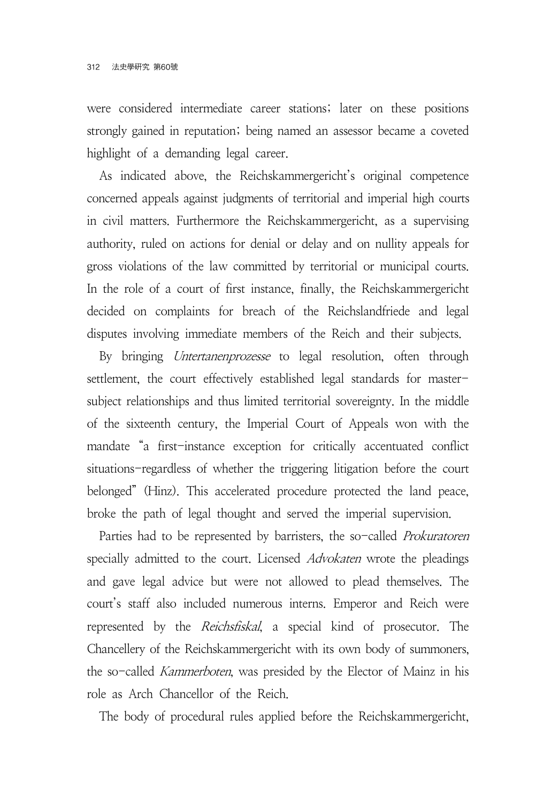were considered intermediate career stations; later on these positions strongly gained in reputation; being named an assessor became a coveted highlight of a demanding legal career.

As indicated above, the Reichskammergericht's original competence concerned appeals against judgments of territorial and imperial high courts in civil matters. Furthermore the Reichskammergericht, as a supervising authority, ruled on actions for denial or delay and on nullity appeals for gross violations of the law committed by territorial or municipal courts. In the role of a court of first instance, finally, the Reichskammergericht decided on complaints for breach of the Reichslandfriede and legal disputes involving immediate members of the Reich and their subjects.

By bringing *Untertanenprozesse* to legal resolution, often through settlement, the court effectively established legal standards for mastersubject relationships and thus limited territorial sovereignty. In the middle of the sixteenth century, the Imperial Court of Appeals won with the mandate "a first-instance exception for critically accentuated conflict situations-regardless of whether the triggering litigation before the court belonged" (Hinz). This accelerated procedure protected the land peace, broke the path of legal thought and served the imperial supervision.

Parties had to be represented by barristers, the so-called *Prokuratoren* specially admitted to the court. Licensed Advokaten wrote the pleadings and gave legal advice but were not allowed to plead themselves. The court's staff also included numerous interns. Emperor and Reich were represented by the *Reichsfiskal*, a special kind of prosecutor. The Chancellery of the Reichskammergericht with its own body of summoners, the so-called Kammerboten, was presided by the Elector of Mainz in his role as Arch Chancellor of the Reich.

The body of procedural rules applied before the Reichskammergericht,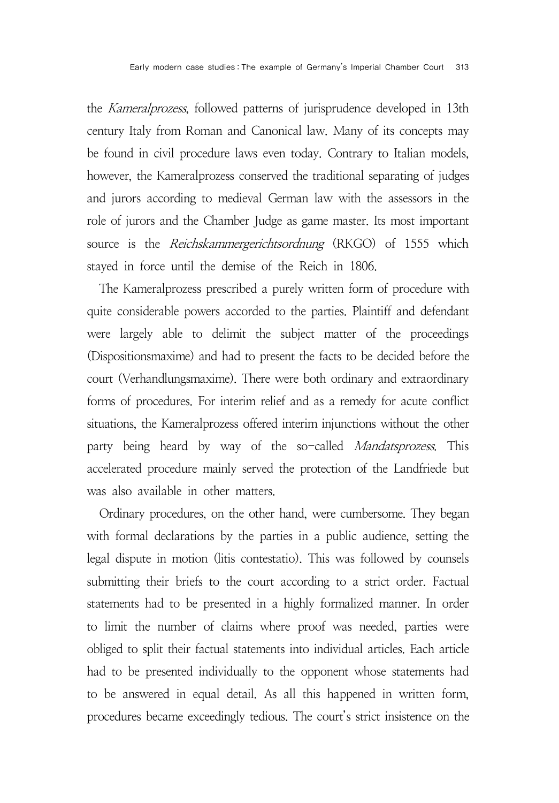the Kameralprozess, followed patterns of jurisprudence developed in 13th century Italy from Roman and Canonical law. Many of its concepts may be found in civil procedure laws even today. Contrary to Italian models, however, the Kameralprozess conserved the traditional separating of judges and jurors according to medieval German law with the assessors in the role of jurors and the Chamber Judge as game master. Its most important source is the *Reichskammergerichtsordnung* (RKGO) of 1555 which stayed in force until the demise of the Reich in 1806.

The Kameralprozess prescribed a purely written form of procedure with quite considerable powers accorded to the parties. Plaintiff and defendant were largely able to delimit the subject matter of the proceedings (Dispositionsmaxime) and had to present the facts to be decided before the court (Verhandlungsmaxime). There were both ordinary and extraordinary forms of procedures. For interim relief and as a remedy for acute conflict situations, the Kameralprozess offered interim injunctions without the other party being heard by way of the so-called *Mandatsprozess*. This accelerated procedure mainly served the protection of the Landfriede but was also available in other matters.

Ordinary procedures, on the other hand, were cumbersome. They began with formal declarations by the parties in a public audience, setting the legal dispute in motion (litis contestatio). This was followed by counsels submitting their briefs to the court according to a strict order. Factual statements had to be presented in a highly formalized manner. In order to limit the number of claims where proof was needed, parties were obliged to split their factual statements into individual articles. Each article had to be presented individually to the opponent whose statements had to be answered in equal detail. As all this happened in written form, procedures became exceedingly tedious. The court's strict insistence on the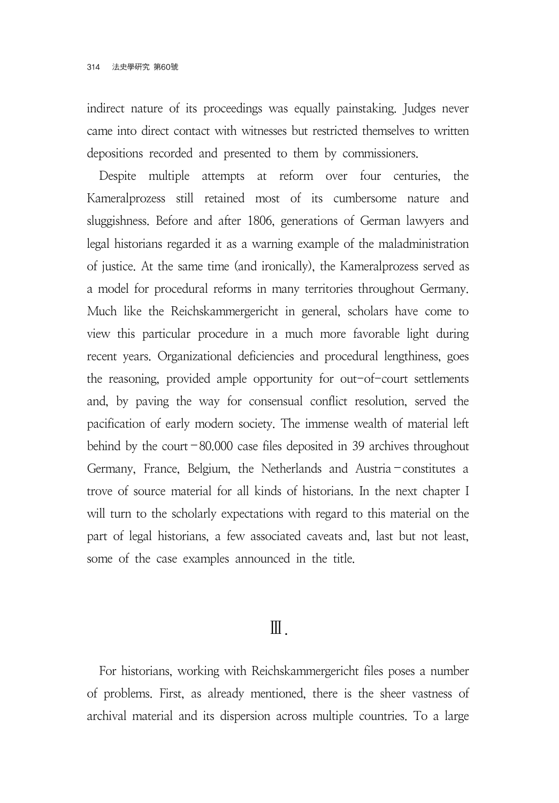indirect nature of its proceedings was equally painstaking. Judges never came into direct contact with witnesses but restricted themselves to written depositions recorded and presented to them by commissioners.

Despite multiple attempts at reform over four centuries, the Kameralprozess still retained most of its cumbersome nature and sluggishness. Before and after 1806, generations of German lawyers and legal historians regarded it as a warning example of the maladministration of justice. At the same time (and ironically), the Kameralprozess served as a model for procedural reforms in many territories throughout Germany. Much like the Reichskammergericht in general, scholars have come to view this particular procedure in a much more favorable light during recent years. Organizational deficiencies and procedural lengthiness, goes the reasoning, provided ample opportunity for out-of-court settlements and, by paving the way for consensual conflict resolution, served the pacification of early modern society. The immense wealth of material left behind by the court-80.000 case files deposited in 39 archives throughout Germany, France, Belgium, the Netherlands and Austria-constitutes a trove of source material for all kinds of historians. In the next chapter I will turn to the scholarly expectations with regard to this material on the part of legal historians, a few associated caveats and, last but not least, some of the case examples announced in the title.

## Ⅲ.

For historians, working with Reichskammergericht files poses a number of problems. First, as already mentioned, there is the sheer vastness of archival material and its dispersion across multiple countries. To a large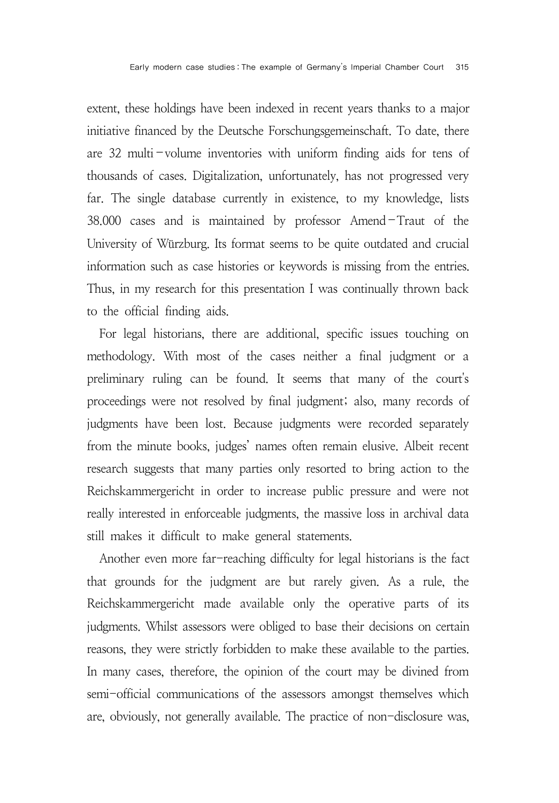extent, these holdings have been indexed in recent years thanks to a major initiative financed by the Deutsche Forschungsgemeinschaft. To date, there are 32 multi-volume inventories with uniform finding aids for tens of thousands of cases. Digitalization, unfortunately, has not progressed very far. The single database currently in existence, to my knowledge, lists 38.000 cases and is maintained by professor Amend-Traut of the University of Würzburg. Its format seems to be quite outdated and crucial information such as case histories or keywords is missing from the entries. Thus, in my research for this presentation I was continually thrown back to the official finding aids.

For legal historians, there are additional, specific issues touching on methodology. With most of the cases neither a final judgment or a preliminary ruling can be found. It seems that many of the court's proceedings were not resolved by final judgment; also, many records of judgments have been lost. Because judgments were recorded separately from the minute books, judges' names often remain elusive. Albeit recent research suggests that many parties only resorted to bring action to the Reichskammergericht in order to increase public pressure and were not really interested in enforceable judgments, the massive loss in archival data still makes it difficult to make general statements.

Another even more far-reaching difficulty for legal historians is the fact that grounds for the judgment are but rarely given. As a rule, the Reichskammergericht made available only the operative parts of its judgments. Whilst assessors were obliged to base their decisions on certain reasons, they were strictly forbidden to make these available to the parties. In many cases, therefore, the opinion of the court may be divined from semi-official communications of the assessors amongst themselves which are, obviously, not generally available. The practice of non-disclosure was,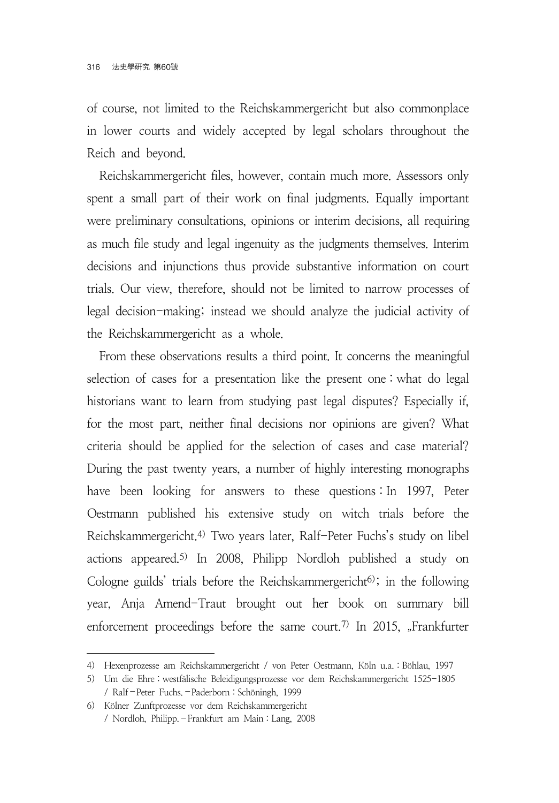of course, not limited to the Reichskammergericht but also commonplace in lower courts and widely accepted by legal scholars throughout the Reich and beyond.

Reichskammergericht files, however, contain much more. Assessors only spent a small part of their work on final judgments. Equally important were preliminary consultations, opinions or interim decisions, all requiring as much file study and legal ingenuity as the judgments themselves. Interim decisions and injunctions thus provide substantive information on court trials. Our view, therefore, should not be limited to narrow processes of legal decision-making; instead we should analyze the judicial activity of the Reichskammergericht as a whole.

From these observations results a third point. It concerns the meaningful selection of cases for a presentation like the present one : what do legal historians want to learn from studying past legal disputes? Especially if, for the most part, neither final decisions nor opinions are given? What criteria should be applied for the selection of cases and case material? During the past twenty years, a number of highly interesting monographs have been looking for answers to these questions : In 1997, Peter Oestmann published his extensive study on witch trials before the Reichskammergericht.4) Two years later, Ralf-Peter Fuchs's study on libel actions appeared.5) In 2008, Philipp Nordloh published a study on Cologne guilds' trials before the Reichskammergericht $6$ ); in the following year, Anja Amend-Traut brought out her book on summary bill enforcement proceedings before the same court.<sup>7)</sup> In 2015, "Frankfurter

<sup>4)</sup> Hexenprozesse am Reichskammergericht / von Peter Oestmann, Köln u.a. : Böhlau, 1997

<sup>5)</sup> Um die Ehre : westfälische Beleidigungsprozesse vor dem Reichskammergericht 1525-1805 / Ralf-Peter Fuchs.-Paderborn : Schöningh, 1999

<sup>6)</sup> Kölner Zunftprozesse vor dem Reichskammergericht / Nordloh, Philipp.-Frankfurt am Main : Lang, 2008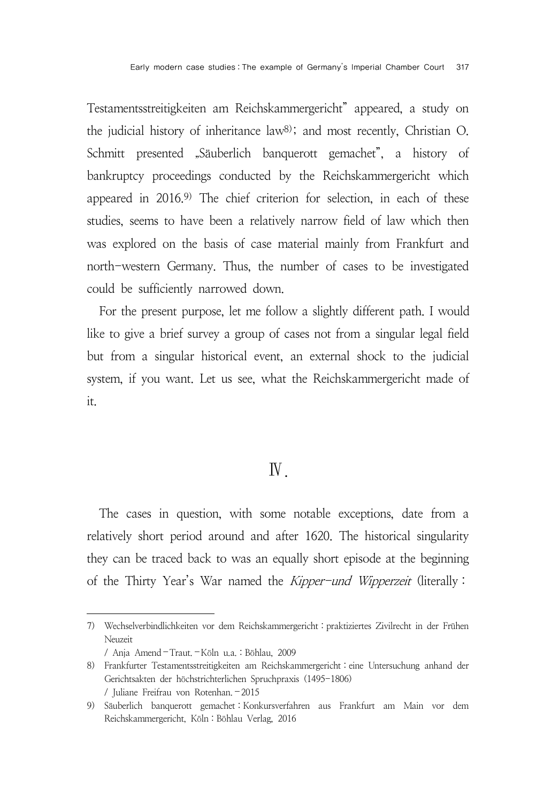Testamentsstreitigkeiten am Reichskammergericht" appeared, a study on the judicial history of inheritance law8); and most recently, Christian O. Schmitt presented "Säuberlich banquerott gemachet", a history of bankruptcy proceedings conducted by the Reichskammergericht which appeared in 2016.9) The chief criterion for selection, in each of these studies, seems to have been a relatively narrow field of law which then was explored on the basis of case material mainly from Frankfurt and north-western Germany. Thus, the number of cases to be investigated could be sufficiently narrowed down.

For the present purpose, let me follow a slightly different path. I would like to give a brief survey a group of cases not from a singular legal field but from a singular historical event, an external shock to the judicial system, if you want. Let us see, what the Reichskammergericht made of it.

## Ⅳ.

The cases in question, with some notable exceptions, date from a relatively short period around and after 1620. The historical singularity they can be traced back to was an equally short episode at the beginning of the Thirty Year's War named the Kipper-und Wipperzeit (literally :

<sup>7)</sup> Wechselverbindlichkeiten vor dem Reichskammergericht : praktiziertes Zivilrecht in der Frühen Neuzeit

<sup>/</sup> Anja Amend-Traut.-Köln u.a. : Böhlau, 2009

<sup>8)</sup> Frankfurter Testamentsstreitigkeiten am Reichskammergericht : eine Untersuchung anhand der Gerichtsakten der höchstrichterlichen Spruchpraxis (1495-1806) / Juliane Freifrau von Rotenhan. - 2015

<sup>9)</sup> Säuberlich banquerott gemachet : Konkursverfahren aus Frankfurt am Main vor dem Reichskammergericht, Köln : Böhlau Verlag, 2016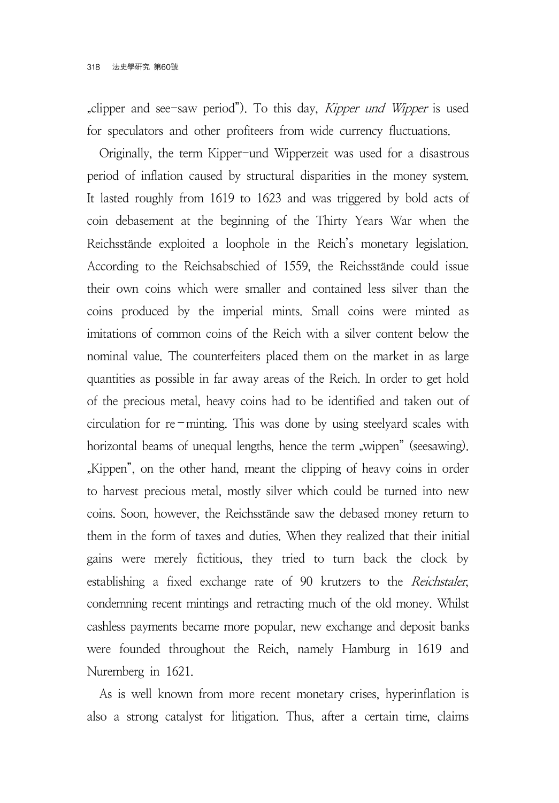"clipper and see-saw period"). To this day, *Kipper und Wipper* is used for speculators and other profiteers from wide currency fluctuations.

Originally, the term Kipper-und Wipperzeit was used for a disastrous period of inflation caused by structural disparities in the money system. It lasted roughly from 1619 to 1623 and was triggered by bold acts of coin debasement at the beginning of the Thirty Years War when the Reichsstände exploited a loophole in the Reich's monetary legislation. According to the Reichsabschied of 1559, the Reichsstände could issue their own coins which were smaller and contained less silver than the coins produced by the imperial mints. Small coins were minted as imitations of common coins of the Reich with a silver content below the nominal value. The counterfeiters placed them on the market in as large quantities as possible in far away areas of the Reich. In order to get hold of the precious metal, heavy coins had to be identified and taken out of circulation for  $re$ -minting. This was done by using steelyard scales with horizontal beams of unequal lengths, hence the term "wippen" (seesawing). "Kippen", on the other hand, meant the clipping of heavy coins in order to harvest precious metal, mostly silver which could be turned into new coins. Soon, however, the Reichsstände saw the debased money return to them in the form of taxes and duties. When they realized that their initial gains were merely fictitious, they tried to turn back the clock by establishing a fixed exchange rate of 90 krutzers to the Reichstaler, condemning recent mintings and retracting much of the old money. Whilst cashless payments became more popular, new exchange and deposit banks were founded throughout the Reich, namely Hamburg in 1619 and Nuremberg in 1621.

As is well known from more recent monetary crises, hyperinflation is also a strong catalyst for litigation. Thus, after a certain time, claims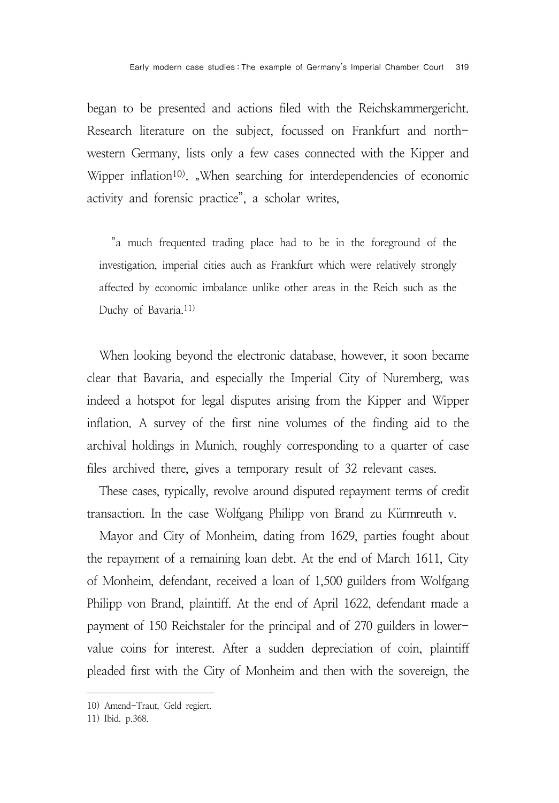began to be presented and actions filed with the Reichskammergericht. Research literature on the subject, focussed on Frankfurt and northwestern Germany, lists only a few cases connected with the Kipper and Wipper inflation<sup>10)</sup>. "When searching for interdependencies of economic activity and forensic practice", a scholar writes,

"a much frequented trading place had to be in the foreground of the investigation, imperial cities auch as Frankfurt which were relatively strongly affected by economic imbalance unlike other areas in the Reich such as the Duchy of Bavaria.11)

When looking beyond the electronic database, however, it soon became clear that Bavaria, and especially the Imperial City of Nuremberg, was indeed a hotspot for legal disputes arising from the Kipper and Wipper inflation. A survey of the first nine volumes of the finding aid to the archival holdings in Munich, roughly corresponding to a quarter of case files archived there, gives a temporary result of 32 relevant cases. archival holdings in Munich, roughly corresponding to a que files archived there, gives a temporary result of 32 relevant<br>These cases, typically, revolve around disputed repayment te<br>transaction. In the case Wolfgang Phili

These cases, typically, revolve around disputed repayment terms of credit transaction. In the case Wolfgang Philipp von Brand zu Kürmreuth v.

Mayor and City of Monheim, dating from 1629, parties fought about the repayment of a remaining loan debt. At the end of March 1611, City of Monheim, defendant, received a loan of 1,500 guilders from Wolfgang Philipp von Brand, plaintiff. At the end of April 1622, defendant made a payment of 150 Reichstaler for the principal and of 270 guilders in lowervalue coins for interest. After a sudden depreciation of coin, plaintiff pleaded first with the City of Monheim and then with the sovereign, the

<sup>10)</sup> Amend-Traut, Geld regiert.

<sup>11)</sup> Ibid. p.368.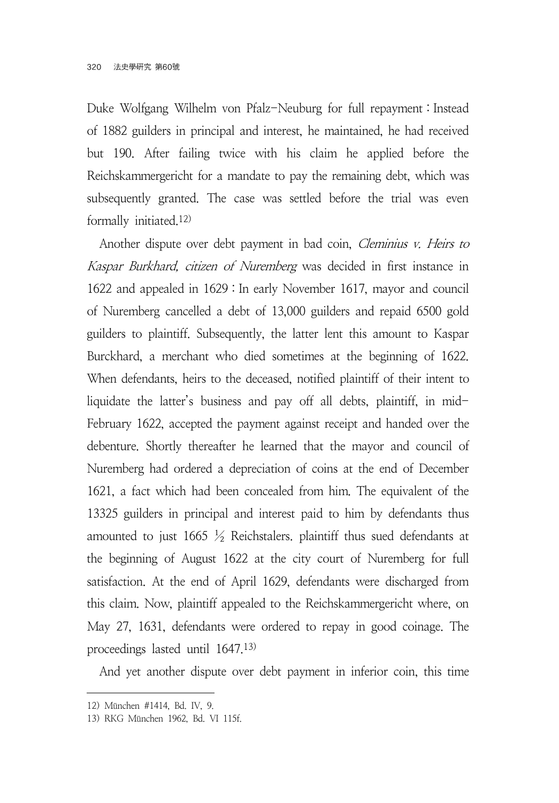Duke Wolfgang Wilhelm von Pfalz-Neuburg for full repayment : Instead of 1882 guilders in principal and interest, he maintained, he had received but 190. After failing twice with his claim he applied before the Reichskammergericht for a mandate to pay the remaining debt, which was subsequently granted. The case was settled before the trial was even formally initiated.12)

Another dispute over debt payment in bad coin, *Cleminius v. Heirs to* Kaspar Burkhard, citizen of Nuremberg was decided in first instance in 1622 and appealed in 1629 : In early November 1617, mayor and council of Nuremberg cancelled a debt of 13,000 guilders and repaid 6500 gold guilders to plaintiff. Subsequently, the latter lent this amount to Kaspar Burckhard, a merchant who died sometimes at the beginning of 1622. When defendants, heirs to the deceased, notified plaintiff of their intent to liquidate the latter's business and pay off all debts, plaintiff, in mid-February 1622, accepted the payment against receipt and handed over the debenture. Shortly thereafter he learned that the mayor and council of Nuremberg had ordered a depreciation of coins at the end of December 1621, a fact which had been concealed from him. The equivalent of the 13325 guilders in principal and interest paid to him by defendants thus amounted to just 1665  $\frac{1}{2}$  Reichstalers. plaintiff thus sued defendants at the beginning of August 1622 at the city court of Nuremberg for full satisfaction. At the end of April 1629, defendants were discharged from this claim. Now, plaintiff appealed to the Reichskammergericht where, on May 27, 1631, defendants were ordered to repay in good coinage. The proceedings lasted until 1647.13)

And yet another dispute over debt payment in inferior coin, this time

<sup>12)</sup> München #1414, Bd. IV, 9.

<sup>13)</sup> RKG München 1962, Bd. VI 115f.